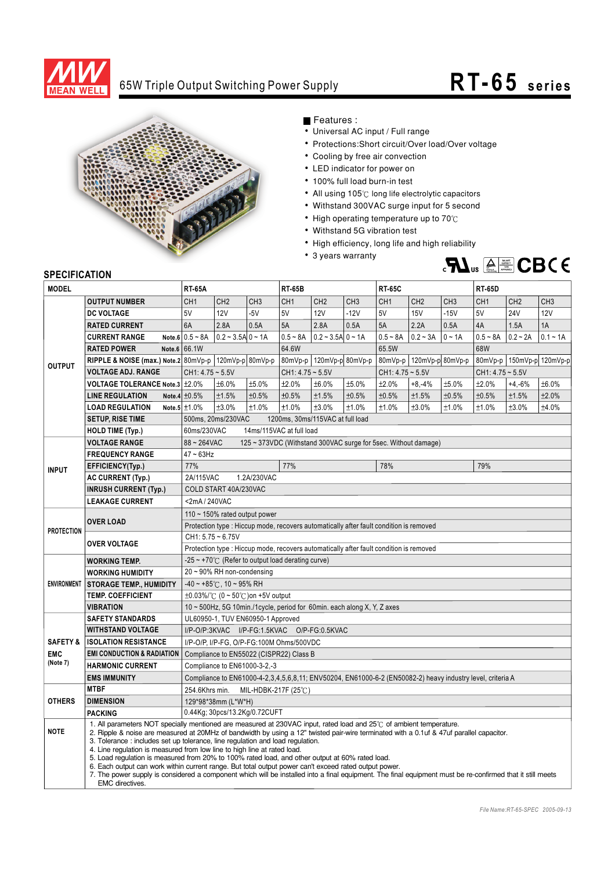

## 65W Triple Output Switching Power Supply **RT-65 s e ri e s**



Features :

- Universal AC input / Full range
- Protections: Short circuit/Over load/Over voltage
- Cooling by free air convection
- LED indicator for power on
- 100% full load burn-in test
- All using 105°C long life electrolytic capacitors
- Withstand 300VAC surge input for 5 second
- High operating temperature up to  $70^{\circ}$ C
- Withstand 5G vibration test
- High efficiency, long life and high reliability
- 3 years warranty



## **SPECIFICATION**

| יוטו השכו ווטבו וע<br><b>MODEL</b>            |                                                                                                                                                                                                                                                                                                                                                                                                                                                                                                                                                                                                                                                                                                                                                                                                                                  | <b>RT-65A</b>                                                                                              |                                           |                          | <b>RT-65B</b>                    |                     |                            | <b>RT-65C</b>      |                 |                               | <b>RT-65D</b>      |                 |                 |
|-----------------------------------------------|----------------------------------------------------------------------------------------------------------------------------------------------------------------------------------------------------------------------------------------------------------------------------------------------------------------------------------------------------------------------------------------------------------------------------------------------------------------------------------------------------------------------------------------------------------------------------------------------------------------------------------------------------------------------------------------------------------------------------------------------------------------------------------------------------------------------------------|------------------------------------------------------------------------------------------------------------|-------------------------------------------|--------------------------|----------------------------------|---------------------|----------------------------|--------------------|-----------------|-------------------------------|--------------------|-----------------|-----------------|
|                                               | <b>OUTPUT NUMBER</b>                                                                                                                                                                                                                                                                                                                                                                                                                                                                                                                                                                                                                                                                                                                                                                                                             | CH <sub>1</sub>                                                                                            | CH <sub>2</sub>                           | CH <sub>3</sub>          | CH <sub>1</sub>                  | CH <sub>2</sub>     | CH <sub>3</sub>            | CH <sub>1</sub>    | CH <sub>2</sub> | CH <sub>3</sub>               | CH <sub>1</sub>    | CH <sub>2</sub> | CH <sub>3</sub> |
| <b>OUTPUT</b>                                 | <b>DC VOLTAGE</b>                                                                                                                                                                                                                                                                                                                                                                                                                                                                                                                                                                                                                                                                                                                                                                                                                | 5V                                                                                                         | <b>12V</b>                                | $-5V$                    | 5V                               | <b>12V</b>          | $-12V$                     | 5V                 | <b>15V</b>      | $-15V$                        | 5V                 | <b>24V</b>      | <b>12V</b>      |
|                                               | <b>RATED CURRENT</b>                                                                                                                                                                                                                                                                                                                                                                                                                                                                                                                                                                                                                                                                                                                                                                                                             | 6A                                                                                                         | 2.8A                                      | 0.5A                     | 5A                               | 2.8A                | 0.5A                       | 5A                 | 2.2A            | 0.5A                          | 4A                 | 1.5A            | 1A              |
|                                               | <b>CURRENT RANGE</b>                                                                                                                                                                                                                                                                                                                                                                                                                                                                                                                                                                                                                                                                                                                                                                                                             | Note.6 $0.5 \sim 8$ A                                                                                      | $0.2 - 3.5A$ 0 ~ 1A                       |                          | $0.5 - 8A$                       | $0.2 - 3.5A$ 0 ~ 1A |                            | $0.5 - 8A$         | $0.2 - 3A$      | $0 \sim 1A$                   | $0.5 - 8A$         | $0.2 - 2A$      | $0.1 - 1A$      |
|                                               | <b>RATED POWER</b>                                                                                                                                                                                                                                                                                                                                                                                                                                                                                                                                                                                                                                                                                                                                                                                                               | Note.6 66.1W                                                                                               |                                           | 64.6W                    |                                  |                     | 65.5W                      |                    |                 | 68W                           |                    |                 |                 |
|                                               |                                                                                                                                                                                                                                                                                                                                                                                                                                                                                                                                                                                                                                                                                                                                                                                                                                  | RIPPLE & NOISE (max.) Note.2 $ 80mVp-p 120mVp-p 80mVp-p$                                                   |                                           | 80mVp-p 120mVp-p 80mVp-p |                                  |                     | 80mVp-p   120mVp-p 80mVp-p |                    |                 | 80mVp-p   150mVp-p   120mVp-p |                    |                 |                 |
|                                               | <b>VOLTAGE ADJ. RANGE</b>                                                                                                                                                                                                                                                                                                                                                                                                                                                                                                                                                                                                                                                                                                                                                                                                        | $CH1: 4.75 - 5.5V$                                                                                         |                                           |                          | $CH1: 4.75 - 5.5V$               |                     |                            | $CH1: 4.75 - 5.5V$ |                 |                               | $CH1: 4.75 - 5.5V$ |                 |                 |
|                                               | <b>VOLTAGE TOLERANCE Note.3 +2.0%</b>                                                                                                                                                                                                                                                                                                                                                                                                                                                                                                                                                                                                                                                                                                                                                                                            |                                                                                                            | ±6.0%                                     | ±5.0%                    | ±2.0%                            | ±6.0%               | ±5.0%                      | ±2.0%              | $+8,-4%$        | ±5.0%                         | ±2.0%              | $+4,-6%$        | ±6.0%           |
|                                               | <b>LINE REGULATION</b>                                                                                                                                                                                                                                                                                                                                                                                                                                                                                                                                                                                                                                                                                                                                                                                                           | Note.4 $\pm 0.5\%$                                                                                         | ±1.5%                                     | ±0.5%                    | ±0.5%                            | ±1.5%               | ±0.5%                      | ±0.5%              | ±1.5%           | ±0.5%                         | ±0.5%              | ±1.5%           | ±2.0%           |
|                                               | <b>LOAD REGULATION</b>                                                                                                                                                                                                                                                                                                                                                                                                                                                                                                                                                                                                                                                                                                                                                                                                           | Note.5 $\pm$ 1.0%                                                                                          | ±3.0%                                     | ±1.0%                    | ±1.0%                            | ±3.0%               | ±1.0%                      | ±1.0%              | ±3.0%           | ±1.0%                         | ±1.0%              | ±3.0%           | ±4.0%           |
|                                               | <b>SETUP, RISE TIME</b>                                                                                                                                                                                                                                                                                                                                                                                                                                                                                                                                                                                                                                                                                                                                                                                                          |                                                                                                            | 500ms, 20ms/230VAC                        |                          | 1200ms, 30ms/115VAC at full load |                     |                            |                    |                 |                               |                    |                 |                 |
|                                               | <b>HOLD TIME (Typ.)</b>                                                                                                                                                                                                                                                                                                                                                                                                                                                                                                                                                                                                                                                                                                                                                                                                          |                                                                                                            | 60ms/230VAC<br>14ms/115VAC at full load   |                          |                                  |                     |                            |                    |                 |                               |                    |                 |                 |
| <b>INPUT</b>                                  | <b>VOLTAGE RANGE</b>                                                                                                                                                                                                                                                                                                                                                                                                                                                                                                                                                                                                                                                                                                                                                                                                             | $88 - 264$ VAC<br>125 ~ 373VDC (Withstand 300VAC surge for 5sec. Without damage)                           |                                           |                          |                                  |                     |                            |                    |                 |                               |                    |                 |                 |
|                                               | <b>FREQUENCY RANGE</b>                                                                                                                                                                                                                                                                                                                                                                                                                                                                                                                                                                                                                                                                                                                                                                                                           | $47 - 63$ Hz                                                                                               |                                           |                          |                                  |                     |                            |                    |                 |                               |                    |                 |                 |
|                                               | EFFICIENCY(Typ.)                                                                                                                                                                                                                                                                                                                                                                                                                                                                                                                                                                                                                                                                                                                                                                                                                 | 77%                                                                                                        |                                           |                          | 77%                              |                     |                            | 78%                |                 |                               | 79%                |                 |                 |
|                                               | <b>AC CURRENT (Typ.)</b>                                                                                                                                                                                                                                                                                                                                                                                                                                                                                                                                                                                                                                                                                                                                                                                                         | 2A/115VAC<br>1.2A/230VAC                                                                                   |                                           |                          |                                  |                     |                            |                    |                 |                               |                    |                 |                 |
|                                               | <b>INRUSH CURRENT (Typ.)</b>                                                                                                                                                                                                                                                                                                                                                                                                                                                                                                                                                                                                                                                                                                                                                                                                     | COLD START 40A/230VAC                                                                                      |                                           |                          |                                  |                     |                            |                    |                 |                               |                    |                 |                 |
|                                               | <b>LEAKAGE CURRENT</b>                                                                                                                                                                                                                                                                                                                                                                                                                                                                                                                                                                                                                                                                                                                                                                                                           |                                                                                                            | <2mA/240VAC                               |                          |                                  |                     |                            |                    |                 |                               |                    |                 |                 |
| <b>PROTECTION</b>                             | <b>OVER LOAD</b>                                                                                                                                                                                                                                                                                                                                                                                                                                                                                                                                                                                                                                                                                                                                                                                                                 | 110 ~ 150% rated output power                                                                              |                                           |                          |                                  |                     |                            |                    |                 |                               |                    |                 |                 |
|                                               |                                                                                                                                                                                                                                                                                                                                                                                                                                                                                                                                                                                                                                                                                                                                                                                                                                  | Protection type: Hiccup mode, recovers automatically after fault condition is removed                      |                                           |                          |                                  |                     |                            |                    |                 |                               |                    |                 |                 |
|                                               |                                                                                                                                                                                                                                                                                                                                                                                                                                                                                                                                                                                                                                                                                                                                                                                                                                  | $CH1: 5.75 - 6.75V$                                                                                        |                                           |                          |                                  |                     |                            |                    |                 |                               |                    |                 |                 |
|                                               | <b>OVER VOLTAGE</b>                                                                                                                                                                                                                                                                                                                                                                                                                                                                                                                                                                                                                                                                                                                                                                                                              | Protection type : Hiccup mode, recovers automatically after fault condition is removed                     |                                           |                          |                                  |                     |                            |                    |                 |                               |                    |                 |                 |
| <b>ENVIRONMENT</b>                            | <b>WORKING TEMP.</b>                                                                                                                                                                                                                                                                                                                                                                                                                                                                                                                                                                                                                                                                                                                                                                                                             | $-25 \sim +70^{\circ}$ (Refer to output load derating curve)                                               |                                           |                          |                                  |                     |                            |                    |                 |                               |                    |                 |                 |
|                                               | <b>WORKING HUMIDITY</b>                                                                                                                                                                                                                                                                                                                                                                                                                                                                                                                                                                                                                                                                                                                                                                                                          | 20~90% RH non-condensing                                                                                   |                                           |                          |                                  |                     |                            |                    |                 |                               |                    |                 |                 |
|                                               | <b>STORAGE TEMP., HUMIDITY</b>                                                                                                                                                                                                                                                                                                                                                                                                                                                                                                                                                                                                                                                                                                                                                                                                   | $-40 \sim +85^{\circ}$ C, 10 ~ 95% RH                                                                      |                                           |                          |                                  |                     |                            |                    |                 |                               |                    |                 |                 |
|                                               | <b>TEMP. COEFFICIENT</b>                                                                                                                                                                                                                                                                                                                                                                                                                                                                                                                                                                                                                                                                                                                                                                                                         |                                                                                                            | $\pm 0.03\%$ /°C (0 ~ 50°C) on +5V output |                          |                                  |                     |                            |                    |                 |                               |                    |                 |                 |
|                                               | <b>VIBRATION</b>                                                                                                                                                                                                                                                                                                                                                                                                                                                                                                                                                                                                                                                                                                                                                                                                                 | 10 ~ 500Hz, 5G 10min./1cycle, period for 60min. each along X, Y, Z axes                                    |                                           |                          |                                  |                     |                            |                    |                 |                               |                    |                 |                 |
| <b>SAFETY &amp;</b><br><b>EMC</b><br>(Note 7) | <b>SAFETY STANDARDS</b>                                                                                                                                                                                                                                                                                                                                                                                                                                                                                                                                                                                                                                                                                                                                                                                                          | UL60950-1, TUV EN60950-1 Approved                                                                          |                                           |                          |                                  |                     |                            |                    |                 |                               |                    |                 |                 |
|                                               | <b>WITHSTAND VOLTAGE</b>                                                                                                                                                                                                                                                                                                                                                                                                                                                                                                                                                                                                                                                                                                                                                                                                         | I/P-O/P:3KVAC I/P-FG:1.5KVAC O/P-FG:0.5KVAC                                                                |                                           |                          |                                  |                     |                            |                    |                 |                               |                    |                 |                 |
|                                               | <b>ISOLATION RESISTANCE</b>                                                                                                                                                                                                                                                                                                                                                                                                                                                                                                                                                                                                                                                                                                                                                                                                      | I/P-O/P, I/P-FG, O/P-FG:100M Ohms/500VDC                                                                   |                                           |                          |                                  |                     |                            |                    |                 |                               |                    |                 |                 |
|                                               | <b>EMI CONDUCTION &amp; RADIATION</b>                                                                                                                                                                                                                                                                                                                                                                                                                                                                                                                                                                                                                                                                                                                                                                                            | Compliance to EN55022 (CISPR22) Class B                                                                    |                                           |                          |                                  |                     |                            |                    |                 |                               |                    |                 |                 |
|                                               | <b>HARMONIC CURRENT</b>                                                                                                                                                                                                                                                                                                                                                                                                                                                                                                                                                                                                                                                                                                                                                                                                          |                                                                                                            | Compliance to EN61000-3-2,-3              |                          |                                  |                     |                            |                    |                 |                               |                    |                 |                 |
|                                               | <b>EMS IMMUNITY</b>                                                                                                                                                                                                                                                                                                                                                                                                                                                                                                                                                                                                                                                                                                                                                                                                              | Compliance to EN61000-4-2,3,4,5,6,8,11; ENV50204, EN61000-6-2 (EN50082-2) heavy industry level, criteria A |                                           |                          |                                  |                     |                            |                    |                 |                               |                    |                 |                 |
| <b>OTHERS</b>                                 | <b>MTBF</b>                                                                                                                                                                                                                                                                                                                                                                                                                                                                                                                                                                                                                                                                                                                                                                                                                      | 254.6Khrs min.                                                                                             |                                           |                          | MIL-HDBK-217F (25℃)              |                     |                            |                    |                 |                               |                    |                 |                 |
|                                               | <b>DIMENSION</b>                                                                                                                                                                                                                                                                                                                                                                                                                                                                                                                                                                                                                                                                                                                                                                                                                 |                                                                                                            | 129*98*38mm (L*W*H)                       |                          |                                  |                     |                            |                    |                 |                               |                    |                 |                 |
|                                               | <b>PACKING</b>                                                                                                                                                                                                                                                                                                                                                                                                                                                                                                                                                                                                                                                                                                                                                                                                                   |                                                                                                            | 0.44Kg; 30pcs/13.2Kg/0.72CUFT             |                          |                                  |                     |                            |                    |                 |                               |                    |                 |                 |
| <b>NOTE</b>                                   | 1. All parameters NOT specially mentioned are measured at 230VAC input, rated load and 25°C of ambient temperature.<br>2. Ripple & noise are measured at 20MHz of bandwidth by using a 12" twisted pair-wire terminated with a 0.1uf & 47uf parallel capacitor.<br>3. Tolerance: includes set up tolerance, line regulation and load regulation.<br>4. Line regulation is measured from low line to high line at rated load.<br>5. Load requlation is measured from 20% to 100% rated load, and other output at 60% rated load.<br>6. Each output can work within current range. But total output power can't exceed rated output power.<br>7. The power supply is considered a component which will be installed into a final equipment. The final equipment must be re-confirmed that it still meets<br><b>EMC</b> directives. |                                                                                                            |                                           |                          |                                  |                     |                            |                    |                 |                               |                    |                 |                 |